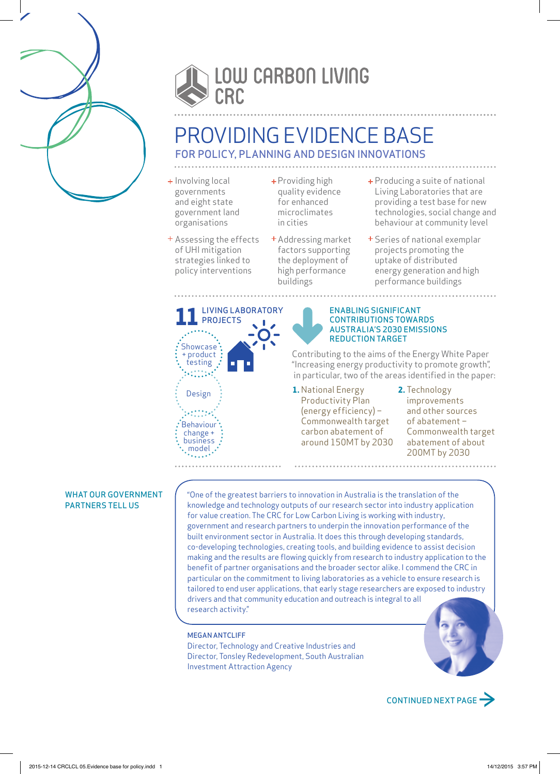



# PROVIDING EVIDENCE BASE FOR POLICY, PLANNING AND DESIGN INNOVATIONS

- + Involving local governments and eight state government land organisations
- Assessing the effects of UHI mitigation strategies linked to policy interventions
- Providing high quality evidence for enhanced microclimates in cities
- Addressing market factors supporting the deployment of high performance buildings
- Producing a suite of national Living Laboratories that are providing a test base for new technologies, social change and behaviour at community level
- + Series of national exemplar projects promoting the uptake of distributed energy generation and high performance buildings

**11**LIVING LABORATORY **PROJECTS Showcase** + product: testing Design **Behaviour** change + business . model . ولأعامده

ENABLING SIGNIFICANT CONTRIBUTIONS TOWARDS AUSTRALIA'S 2030 EMISSIONS REDUCTION TARGET

Contributing to the aims of the Energy White Paper "Increasing energy productivity to promote growth", in particular, two of the areas identified in the paper:

**1.** National Energy Productivity Plan (energy efficiency) – Commonwealth target carbon abatement of around 150MT by 2030 **2.** Technology improvements and other sources of abatement – Commonwealth target abatement of about 200MT by 2030

### WHAT OUR GOVERNMENT PARTNERS TELL US

"One of the greatest barriers to innovation in Australia is the translation of the knowledge and technology outputs of our research sector into industry application for value creation. The CRC for Low Carbon Living is working with industry, government and research partners to underpin the innovation performance of the built environment sector in Australia. It does this through developing standards, co-developing technologies, creating tools, and building evidence to assist decision making and the results are flowing quickly from research to industry application to the benefit of partner organisations and the broader sector alike. I commend the CRC in particular on the commitment to living laboratories as a vehicle to ensure research is tailored to end user applications, that early stage researchers are exposed to industry drivers and that community education and outreach is integral to all research activity."

## MEGAN ANTCLIFF

Director, Technology and Creative Industries and Director, Tonsley Redevelopment, South Australian Investment Attraction Agency